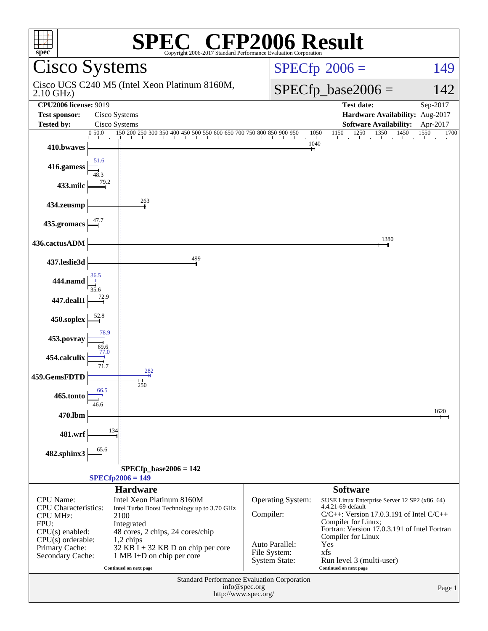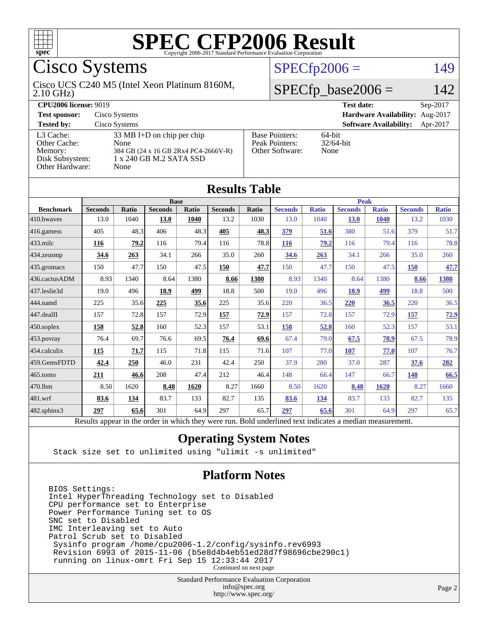

## Cisco Systems

#### 2.10 GHz) Cisco UCS C240 M5 (Intel Xeon Platinum 8160M,

#### $SPECfp2006 = 149$  $SPECfp2006 = 149$

### $SPECfp\_base2006 = 142$

| <b>CPU2006 license: 9019</b>                                               |                                                                                                                         |                                                            | <b>Test date:</b><br>$Sep-2017$           |  |  |  |
|----------------------------------------------------------------------------|-------------------------------------------------------------------------------------------------------------------------|------------------------------------------------------------|-------------------------------------------|--|--|--|
| <b>Test sponsor:</b>                                                       | Cisco Systems                                                                                                           | Hardware Availability: Aug-2017                            |                                           |  |  |  |
| <b>Tested by:</b>                                                          | Cisco Systems                                                                                                           |                                                            | <b>Software Availability:</b><br>Apr-2017 |  |  |  |
| L3 Cache:<br>Other Cache:<br>Memory:<br>Disk Subsystem:<br>Other Hardware: | $33 \text{ MB I+D}$ on chip per chip<br>None<br>384 GB (24 x 16 GB 2Rx4 PC4-2666V-R)<br>1 x 240 GB M.2 SATA SSD<br>None | <b>Base Pointers:</b><br>Peak Pointers:<br>Other Software: | 64-bit<br>$32/64$ -bit<br>None            |  |  |  |

**[Results Table](http://www.spec.org/auto/cpu2006/Docs/result-fields.html#ResultsTable)**

| Results Table     |                                                                                                          |              |                |       |                |             |                |              |                |              |                |              |
|-------------------|----------------------------------------------------------------------------------------------------------|--------------|----------------|-------|----------------|-------------|----------------|--------------|----------------|--------------|----------------|--------------|
|                   | <b>Base</b>                                                                                              |              |                |       |                | <b>Peak</b> |                |              |                |              |                |              |
| <b>Benchmark</b>  | <b>Seconds</b>                                                                                           | <b>Ratio</b> | <b>Seconds</b> | Ratio | <b>Seconds</b> | Ratio       | <b>Seconds</b> | <b>Ratio</b> | <b>Seconds</b> | <b>Ratio</b> | <b>Seconds</b> | <b>Ratio</b> |
| 410.bwayes        | 13.0                                                                                                     | 1040         | 13.0           | 1040  | 13.2           | 1030        | 13.0           | 1040         | <b>13.0</b>    | <b>1040</b>  | 13.2           | 1030         |
| $416$ .gamess     | 405                                                                                                      | 48.3         | 406            | 48.3  | 405            | 48.3        | 379            | 51.6         | 380            | 51.6         | 379            | 51.7         |
| $433$ .milc       | 116                                                                                                      | 79.2         | 116            | 79.4  | 116            | 78.8        | 116            | 79.2         | 116            | 79.4         | 116            | 78.8         |
| $434$ . zeusmp    | 34.6                                                                                                     | 263          | 34.1           | 266   | 35.0           | 260         | 34.6           | 263          | 34.1           | 266          | 35.0           | 260          |
| $435$ .gromacs    | 150                                                                                                      | 47.7         | 150            | 47.5  | 150            | 47.7        | 150            | 47.7         | 150            | 47.5         | 150            | 47.7         |
| 436.cactusADM     | 8.93                                                                                                     | 1340         | 8.64           | 1380  | 8.66           | 1380        | 8.93           | 1340         | 8.64           | 1380         | 8.66           | 1380         |
| 437.leslie3d      | 19.0                                                                                                     | 496          | 18.9           | 499   | 18.8           | 500         | 19.0           | 496          | 18.9           | 499          | 18.8           | 500          |
| 444.namd          | 225                                                                                                      | 35.6         | 225            | 35.6  | 225            | 35.6        | 220            | 36.5         | 220            | 36.5         | 220            | 36.5         |
| 447.dealII        | 157                                                                                                      | 72.8         | 157            | 72.9  | 157            | 72.9        | 157            | 72.8         | 157            | 72.9         | 157            | 72.9         |
| $450$ .soplex     | 158                                                                                                      | 52.8         | 160            | 52.3  | 157            | 53.1        | 158            | 52.8         | 160            | 52.3         | 157            | 53.1         |
| 453.povray        | 76.4                                                                                                     | 69.7         | 76.6           | 69.5  | 76.4           | 69.6        | 67.4           | 79.0         | 67.5           | 78.9         | 67.5           | 78.9         |
| 454.calculix      | 115                                                                                                      | 71.7         | 115            | 71.8  | 115            | 71.6        | 107            | 77.0         | 107            | 77.0         | 107            | 76.7         |
| 459.GemsFDTD      | 42.4                                                                                                     | 250          | 46.0           | 231   | 42.4           | 250         | 37.9           | 280          | 37.0           | 287          | 37.6           | 282          |
| $465$ .tonto      | 211                                                                                                      | 46.6         | 208            | 47.4  | 212            | 46.4        | 148            | 66.4         | 147            | 66.7         | 148            | 66.5         |
| 470.1bm           | 8.50                                                                                                     | 1620         | 8.48           | 1620  | 8.27           | 1660        | 8.50           | 1620         | 8.48           | 1620         | 8.27           | 1660         |
| 481.wrf           | 83.6                                                                                                     | 134          | 83.7           | 133   | 82.7           | 135         | 83.6           | <b>134</b>   | 83.7           | 133          | 82.7           | 135          |
| $482$ .sphinx $3$ | 297                                                                                                      | 65.6         | 301            | 64.9  | 297            | 65.7        | 297            | 65.6         | 301            | 64.9         | 297            | 65.7         |
|                   | Results appear in the order in which they were run. Bold underlined text indicates a median measurement. |              |                |       |                |             |                |              |                |              |                |              |

#### **[Operating System Notes](http://www.spec.org/auto/cpu2006/Docs/result-fields.html#OperatingSystemNotes)**

Stack size set to unlimited using "ulimit -s unlimited"

#### **[Platform Notes](http://www.spec.org/auto/cpu2006/Docs/result-fields.html#PlatformNotes)**

BIOS Settings: Intel HyperThreading Technology set to Disabled CPU performance set to Enterprise Power Performance Tuning set to OS SNC set to Disabled IMC Interleaving set to Auto Patrol Scrub set to Disabled Sysinfo program /home/cpu2006-1.2/config/sysinfo.rev6993 Revision 6993 of 2015-11-06 (b5e8d4b4eb51ed28d7f98696cbe290c1) running on linux-omrt Fri Sep 15 12:33:44 2017 Continued on next page

> Standard Performance Evaluation Corporation [info@spec.org](mailto:info@spec.org) <http://www.spec.org/>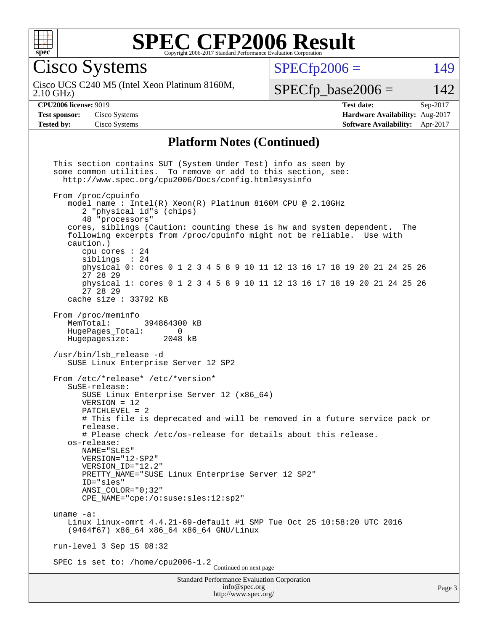

Cisco Systems

Cisco UCS C240 M5 (Intel Xeon Platinum 8160M,

 $SPECTp2006 = 149$ 

2.10 GHz)

 $SPECTp\_base2006 = 142$ 

**[CPU2006 license:](http://www.spec.org/auto/cpu2006/Docs/result-fields.html#CPU2006license)** 9019 **[Test date:](http://www.spec.org/auto/cpu2006/Docs/result-fields.html#Testdate)** Sep-2017 **[Test sponsor:](http://www.spec.org/auto/cpu2006/Docs/result-fields.html#Testsponsor)** Cisco Systems **[Hardware Availability:](http://www.spec.org/auto/cpu2006/Docs/result-fields.html#HardwareAvailability)** Aug-2017 **[Tested by:](http://www.spec.org/auto/cpu2006/Docs/result-fields.html#Testedby)** Cisco Systems **[Software Availability:](http://www.spec.org/auto/cpu2006/Docs/result-fields.html#SoftwareAvailability)** Apr-2017

#### **[Platform Notes \(Continued\)](http://www.spec.org/auto/cpu2006/Docs/result-fields.html#PlatformNotes)**

Standard Performance Evaluation Corporation [info@spec.org](mailto:info@spec.org) <http://www.spec.org/> This section contains SUT (System Under Test) info as seen by some common utilities. To remove or add to this section, see: <http://www.spec.org/cpu2006/Docs/config.html#sysinfo> From /proc/cpuinfo model name : Intel(R) Xeon(R) Platinum 8160M CPU @ 2.10GHz 2 "physical id"s (chips) 48 "processors" cores, siblings (Caution: counting these is hw and system dependent. The following excerpts from /proc/cpuinfo might not be reliable. Use with caution.) cpu cores : 24 siblings : 24 physical 0: cores 0 1 2 3 4 5 8 9 10 11 12 13 16 17 18 19 20 21 24 25 26 27 28 29 physical 1: cores 0 1 2 3 4 5 8 9 10 11 12 13 16 17 18 19 20 21 24 25 26 27 28 29 cache size : 33792 KB From /proc/meminfo MemTotal: 394864300 kB HugePages\_Total: 0 Hugepagesize: 2048 kB /usr/bin/lsb\_release -d SUSE Linux Enterprise Server 12 SP2 From /etc/\*release\* /etc/\*version\* SuSE-release: SUSE Linux Enterprise Server 12 (x86\_64) VERSION = 12 PATCHLEVEL = 2 # This file is deprecated and will be removed in a future service pack or release. # Please check /etc/os-release for details about this release. os-release: NAME="SLES" VERSION="12-SP2" VERSION\_ID="12.2" PRETTY NAME="SUSE Linux Enterprise Server 12 SP2" ID="sles" ANSI\_COLOR="0;32" CPE\_NAME="cpe:/o:suse:sles:12:sp2" uname -a: Linux linux-omrt 4.4.21-69-default #1 SMP Tue Oct 25 10:58:20 UTC 2016 (9464f67) x86\_64 x86\_64 x86\_64 GNU/Linux run-level 3 Sep 15 08:32 SPEC is set to: /home/cpu2006-1.2<br>Continued on next page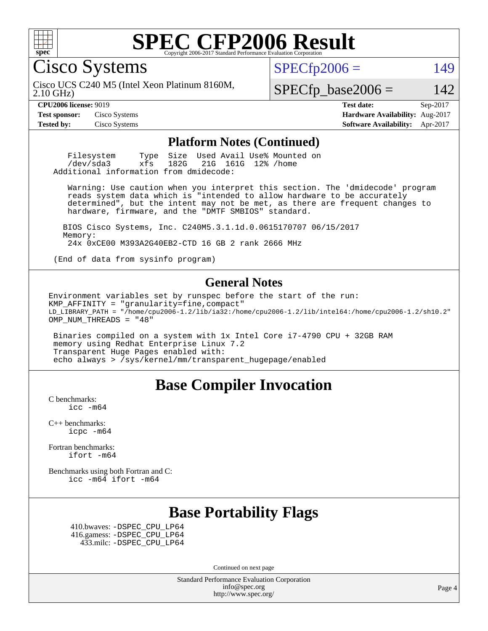

Cisco Systems

 $SPECTp2006 = 149$ 

2.10 GHz) Cisco UCS C240 M5 (Intel Xeon Platinum 8160M,

 $SPECTp\_base2006 = 142$ 

**[CPU2006 license:](http://www.spec.org/auto/cpu2006/Docs/result-fields.html#CPU2006license)** 9019 **[Test date:](http://www.spec.org/auto/cpu2006/Docs/result-fields.html#Testdate)** Sep-2017 **[Test sponsor:](http://www.spec.org/auto/cpu2006/Docs/result-fields.html#Testsponsor)** Cisco Systems **[Hardware Availability:](http://www.spec.org/auto/cpu2006/Docs/result-fields.html#HardwareAvailability)** Aug-2017 **[Tested by:](http://www.spec.org/auto/cpu2006/Docs/result-fields.html#Testedby)** Cisco Systems **[Software Availability:](http://www.spec.org/auto/cpu2006/Docs/result-fields.html#SoftwareAvailability)** Apr-2017

#### **[Platform Notes \(Continued\)](http://www.spec.org/auto/cpu2006/Docs/result-fields.html#PlatformNotes)**

Filesystem Type Size Used Avail Use% Mounted on<br>
/dev/sda3 xfs 182G 21G 161G 12% /home 21G 161G 12% /home Additional information from dmidecode:

 Warning: Use caution when you interpret this section. The 'dmidecode' program reads system data which is "intended to allow hardware to be accurately determined", but the intent may not be met, as there are frequent changes to hardware, firmware, and the "DMTF SMBIOS" standard.

 BIOS Cisco Systems, Inc. C240M5.3.1.1d.0.0615170707 06/15/2017 Memory: 24x 0xCE00 M393A2G40EB2-CTD 16 GB 2 rank 2666 MHz

(End of data from sysinfo program)

#### **[General Notes](http://www.spec.org/auto/cpu2006/Docs/result-fields.html#GeneralNotes)**

Environment variables set by runspec before the start of the run:  $KMP$  AFFINITY = "granularity=fine, compact" LD\_LIBRARY\_PATH = "/home/cpu2006-1.2/lib/ia32:/home/cpu2006-1.2/lib/intel64:/home/cpu2006-1.2/sh10.2" OMP\_NUM\_THREADS = "48"

 Binaries compiled on a system with 1x Intel Core i7-4790 CPU + 32GB RAM memory using Redhat Enterprise Linux 7.2 Transparent Huge Pages enabled with: echo always > /sys/kernel/mm/transparent\_hugepage/enabled

#### **[Base Compiler Invocation](http://www.spec.org/auto/cpu2006/Docs/result-fields.html#BaseCompilerInvocation)**

[C benchmarks](http://www.spec.org/auto/cpu2006/Docs/result-fields.html#Cbenchmarks): [icc -m64](http://www.spec.org/cpu2006/results/res2017q4/cpu2006-20170919-50187.flags.html#user_CCbase_intel_icc_64bit_bda6cc9af1fdbb0edc3795bac97ada53)

[C++ benchmarks:](http://www.spec.org/auto/cpu2006/Docs/result-fields.html#CXXbenchmarks) [icpc -m64](http://www.spec.org/cpu2006/results/res2017q4/cpu2006-20170919-50187.flags.html#user_CXXbase_intel_icpc_64bit_fc66a5337ce925472a5c54ad6a0de310)

[Fortran benchmarks](http://www.spec.org/auto/cpu2006/Docs/result-fields.html#Fortranbenchmarks): [ifort -m64](http://www.spec.org/cpu2006/results/res2017q4/cpu2006-20170919-50187.flags.html#user_FCbase_intel_ifort_64bit_ee9d0fb25645d0210d97eb0527dcc06e)

[Benchmarks using both Fortran and C](http://www.spec.org/auto/cpu2006/Docs/result-fields.html#BenchmarksusingbothFortranandC): [icc -m64](http://www.spec.org/cpu2006/results/res2017q4/cpu2006-20170919-50187.flags.html#user_CC_FCbase_intel_icc_64bit_bda6cc9af1fdbb0edc3795bac97ada53) [ifort -m64](http://www.spec.org/cpu2006/results/res2017q4/cpu2006-20170919-50187.flags.html#user_CC_FCbase_intel_ifort_64bit_ee9d0fb25645d0210d97eb0527dcc06e)

### **[Base Portability Flags](http://www.spec.org/auto/cpu2006/Docs/result-fields.html#BasePortabilityFlags)**

 410.bwaves: [-DSPEC\\_CPU\\_LP64](http://www.spec.org/cpu2006/results/res2017q4/cpu2006-20170919-50187.flags.html#suite_basePORTABILITY410_bwaves_DSPEC_CPU_LP64) 416.gamess: [-DSPEC\\_CPU\\_LP64](http://www.spec.org/cpu2006/results/res2017q4/cpu2006-20170919-50187.flags.html#suite_basePORTABILITY416_gamess_DSPEC_CPU_LP64) 433.milc: [-DSPEC\\_CPU\\_LP64](http://www.spec.org/cpu2006/results/res2017q4/cpu2006-20170919-50187.flags.html#suite_basePORTABILITY433_milc_DSPEC_CPU_LP64)

Continued on next page

Standard Performance Evaluation Corporation [info@spec.org](mailto:info@spec.org) <http://www.spec.org/>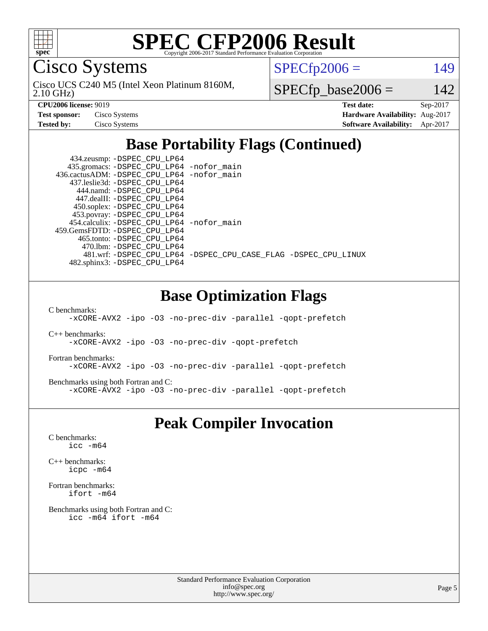

Cisco Systems

2.10 GHz) Cisco UCS C240 M5 (Intel Xeon Platinum 8160M,  $SPECTp2006 = 149$ 

 $SPECfp\_base2006 = 142$ 

**[CPU2006 license:](http://www.spec.org/auto/cpu2006/Docs/result-fields.html#CPU2006license)** 9019 **[Test date:](http://www.spec.org/auto/cpu2006/Docs/result-fields.html#Testdate)** Sep-2017 **[Test sponsor:](http://www.spec.org/auto/cpu2006/Docs/result-fields.html#Testsponsor)** Cisco Systems **[Hardware Availability:](http://www.spec.org/auto/cpu2006/Docs/result-fields.html#HardwareAvailability)** Aug-2017 **[Tested by:](http://www.spec.org/auto/cpu2006/Docs/result-fields.html#Testedby)** Cisco Systems **[Software Availability:](http://www.spec.org/auto/cpu2006/Docs/result-fields.html#SoftwareAvailability)** Apr-2017

### **[Base Portability Flags \(Continued\)](http://www.spec.org/auto/cpu2006/Docs/result-fields.html#BasePortabilityFlags)**

| 434.zeusmp: - DSPEC_CPU_LP64                |                                                                |
|---------------------------------------------|----------------------------------------------------------------|
| 435.gromacs: -DSPEC_CPU_LP64 -nofor_main    |                                                                |
| 436.cactusADM: -DSPEC CPU LP64 -nofor main  |                                                                |
| 437.leslie3d: -DSPEC CPU LP64               |                                                                |
| 444.namd: -DSPEC CPU LP64                   |                                                                |
| 447.dealII: -DSPEC CPU LP64                 |                                                                |
| 450.soplex: -DSPEC_CPU_LP64                 |                                                                |
| 453.povray: -DSPEC_CPU_LP64                 |                                                                |
| 454.calculix: - DSPEC CPU LP64 - nofor main |                                                                |
| 459. GemsFDTD: - DSPEC CPU LP64             |                                                                |
| 465.tonto: -DSPEC CPU LP64                  |                                                                |
| 470.1bm: - DSPEC_CPU LP64                   |                                                                |
|                                             | 481.wrf: -DSPEC CPU_LP64 -DSPEC_CPU_CASE_FLAG -DSPEC_CPU_LINUX |
| 482.sphinx3: -DSPEC_CPU_LP64                |                                                                |

### **[Base Optimization Flags](http://www.spec.org/auto/cpu2006/Docs/result-fields.html#BaseOptimizationFlags)**

[C benchmarks](http://www.spec.org/auto/cpu2006/Docs/result-fields.html#Cbenchmarks):

[-xCORE-AVX2](http://www.spec.org/cpu2006/results/res2017q4/cpu2006-20170919-50187.flags.html#user_CCbase_f-xCORE-AVX2) [-ipo](http://www.spec.org/cpu2006/results/res2017q4/cpu2006-20170919-50187.flags.html#user_CCbase_f-ipo) [-O3](http://www.spec.org/cpu2006/results/res2017q4/cpu2006-20170919-50187.flags.html#user_CCbase_f-O3) [-no-prec-div](http://www.spec.org/cpu2006/results/res2017q4/cpu2006-20170919-50187.flags.html#user_CCbase_f-no-prec-div) [-parallel](http://www.spec.org/cpu2006/results/res2017q4/cpu2006-20170919-50187.flags.html#user_CCbase_f-parallel) [-qopt-prefetch](http://www.spec.org/cpu2006/results/res2017q4/cpu2006-20170919-50187.flags.html#user_CCbase_f-qopt-prefetch)

[C++ benchmarks:](http://www.spec.org/auto/cpu2006/Docs/result-fields.html#CXXbenchmarks) [-xCORE-AVX2](http://www.spec.org/cpu2006/results/res2017q4/cpu2006-20170919-50187.flags.html#user_CXXbase_f-xCORE-AVX2) [-ipo](http://www.spec.org/cpu2006/results/res2017q4/cpu2006-20170919-50187.flags.html#user_CXXbase_f-ipo) [-O3](http://www.spec.org/cpu2006/results/res2017q4/cpu2006-20170919-50187.flags.html#user_CXXbase_f-O3) [-no-prec-div](http://www.spec.org/cpu2006/results/res2017q4/cpu2006-20170919-50187.flags.html#user_CXXbase_f-no-prec-div) [-qopt-prefetch](http://www.spec.org/cpu2006/results/res2017q4/cpu2006-20170919-50187.flags.html#user_CXXbase_f-qopt-prefetch)

[Fortran benchmarks](http://www.spec.org/auto/cpu2006/Docs/result-fields.html#Fortranbenchmarks): [-xCORE-AVX2](http://www.spec.org/cpu2006/results/res2017q4/cpu2006-20170919-50187.flags.html#user_FCbase_f-xCORE-AVX2) [-ipo](http://www.spec.org/cpu2006/results/res2017q4/cpu2006-20170919-50187.flags.html#user_FCbase_f-ipo) [-O3](http://www.spec.org/cpu2006/results/res2017q4/cpu2006-20170919-50187.flags.html#user_FCbase_f-O3) [-no-prec-div](http://www.spec.org/cpu2006/results/res2017q4/cpu2006-20170919-50187.flags.html#user_FCbase_f-no-prec-div) [-parallel](http://www.spec.org/cpu2006/results/res2017q4/cpu2006-20170919-50187.flags.html#user_FCbase_f-parallel) [-qopt-prefetch](http://www.spec.org/cpu2006/results/res2017q4/cpu2006-20170919-50187.flags.html#user_FCbase_f-qopt-prefetch)

[Benchmarks using both Fortran and C](http://www.spec.org/auto/cpu2006/Docs/result-fields.html#BenchmarksusingbothFortranandC): [-xCORE-AVX2](http://www.spec.org/cpu2006/results/res2017q4/cpu2006-20170919-50187.flags.html#user_CC_FCbase_f-xCORE-AVX2) [-ipo](http://www.spec.org/cpu2006/results/res2017q4/cpu2006-20170919-50187.flags.html#user_CC_FCbase_f-ipo) [-O3](http://www.spec.org/cpu2006/results/res2017q4/cpu2006-20170919-50187.flags.html#user_CC_FCbase_f-O3) [-no-prec-div](http://www.spec.org/cpu2006/results/res2017q4/cpu2006-20170919-50187.flags.html#user_CC_FCbase_f-no-prec-div) [-parallel](http://www.spec.org/cpu2006/results/res2017q4/cpu2006-20170919-50187.flags.html#user_CC_FCbase_f-parallel) [-qopt-prefetch](http://www.spec.org/cpu2006/results/res2017q4/cpu2006-20170919-50187.flags.html#user_CC_FCbase_f-qopt-prefetch)

#### **[Peak Compiler Invocation](http://www.spec.org/auto/cpu2006/Docs/result-fields.html#PeakCompilerInvocation)**

[C benchmarks](http://www.spec.org/auto/cpu2006/Docs/result-fields.html#Cbenchmarks): [icc -m64](http://www.spec.org/cpu2006/results/res2017q4/cpu2006-20170919-50187.flags.html#user_CCpeak_intel_icc_64bit_bda6cc9af1fdbb0edc3795bac97ada53)

[C++ benchmarks:](http://www.spec.org/auto/cpu2006/Docs/result-fields.html#CXXbenchmarks) [icpc -m64](http://www.spec.org/cpu2006/results/res2017q4/cpu2006-20170919-50187.flags.html#user_CXXpeak_intel_icpc_64bit_fc66a5337ce925472a5c54ad6a0de310)

[Fortran benchmarks](http://www.spec.org/auto/cpu2006/Docs/result-fields.html#Fortranbenchmarks): [ifort -m64](http://www.spec.org/cpu2006/results/res2017q4/cpu2006-20170919-50187.flags.html#user_FCpeak_intel_ifort_64bit_ee9d0fb25645d0210d97eb0527dcc06e)

[Benchmarks using both Fortran and C](http://www.spec.org/auto/cpu2006/Docs/result-fields.html#BenchmarksusingbothFortranandC): [icc -m64](http://www.spec.org/cpu2006/results/res2017q4/cpu2006-20170919-50187.flags.html#user_CC_FCpeak_intel_icc_64bit_bda6cc9af1fdbb0edc3795bac97ada53) [ifort -m64](http://www.spec.org/cpu2006/results/res2017q4/cpu2006-20170919-50187.flags.html#user_CC_FCpeak_intel_ifort_64bit_ee9d0fb25645d0210d97eb0527dcc06e)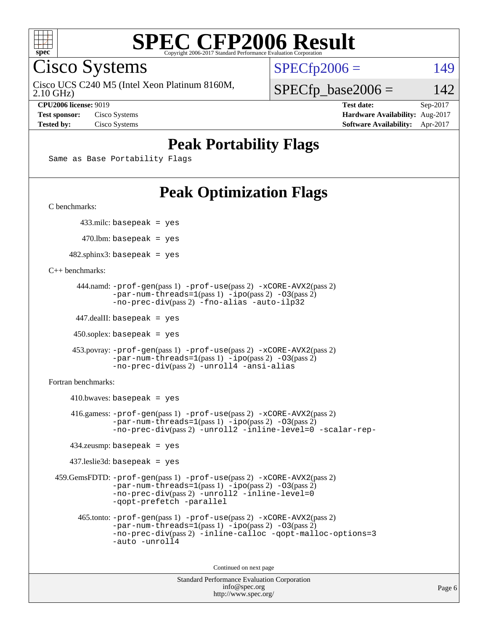

Cisco Systems

Cisco UCS C240 M5 (Intel Xeon Platinum 8160M,

 $SPECTp2006 = 149$ 

2.10 GHz)

 $SPECfp\_base2006 = 142$ 

**[CPU2006 license:](http://www.spec.org/auto/cpu2006/Docs/result-fields.html#CPU2006license)** 9019 **[Test date:](http://www.spec.org/auto/cpu2006/Docs/result-fields.html#Testdate)** Sep-2017 **[Test sponsor:](http://www.spec.org/auto/cpu2006/Docs/result-fields.html#Testsponsor)** Cisco Systems **[Hardware Availability:](http://www.spec.org/auto/cpu2006/Docs/result-fields.html#HardwareAvailability)** Aug-2017 **[Tested by:](http://www.spec.org/auto/cpu2006/Docs/result-fields.html#Testedby)** Cisco Systems **[Software Availability:](http://www.spec.org/auto/cpu2006/Docs/result-fields.html#SoftwareAvailability)** Apr-2017

### **[Peak Portability Flags](http://www.spec.org/auto/cpu2006/Docs/result-fields.html#PeakPortabilityFlags)**

Same as Base Portability Flags

### **[Peak Optimization Flags](http://www.spec.org/auto/cpu2006/Docs/result-fields.html#PeakOptimizationFlags)**

[C benchmarks](http://www.spec.org/auto/cpu2006/Docs/result-fields.html#Cbenchmarks):

433.milc: basepeak = yes

 $470.$ lbm: basepeak = yes

 $482$ .sphinx3: basepeak = yes

[C++ benchmarks:](http://www.spec.org/auto/cpu2006/Docs/result-fields.html#CXXbenchmarks)

```
 444.namd: -prof-gen(pass 1) -prof-use(pass 2) -xCORE-AVX2(pass 2)
       -par-num-threads=1-ipo-O3(pass 2)-no-prec-div(pass 2) -fno-alias -auto-ilp32
```
447.dealII: basepeak = yes

 $450$ .soplex: basepeak = yes

```
 453.povray: -prof-gen(pass 1) -prof-use(pass 2) -xCORE-AVX2(pass 2)
         -par-num-threads=1-ipo-O3(pass 2)-no-prec-div(pass 2) -unroll4 -ansi-alias
```
[Fortran benchmarks](http://www.spec.org/auto/cpu2006/Docs/result-fields.html#Fortranbenchmarks):

```
410.bwaves: basepeak = yes 416.gamess: -prof-gen(pass 1) -prof-use(pass 2) -xCORE-AVX2(pass 2)
            -par-num-threads=1-ipo-O3(pass 2)-no-prec-div(pass 2) -unroll2 -inline-level=0 -scalar-rep-
    434.zeusmp: basepeak = yes
    437.leslie3d: basepeak = yes
 459.GemsFDTD: -prof-gen(pass 1) -prof-use(pass 2) -xCORE-AVX2(pass 2)
            -par-num-threads=1-ipo-O3(pass 2)-no-prec-div(pass 2) -unroll2 -inline-level=0
            -qopt-prefetch -parallel
      465.tonto: -prof-gen(pass 1) -prof-use(pass 2) -xCORE-AVX2(pass 2)
            -par-num-threads=1(pass 1) -ipo(pass 2) -O3(pass 2)
            -no-prec-div-inline-calloc-qopt-malloc-options=3
            -auto -unroll4
```
Continued on next page

```
Standard Performance Evaluation Corporation
             info@spec.org
           http://www.spec.org/
```